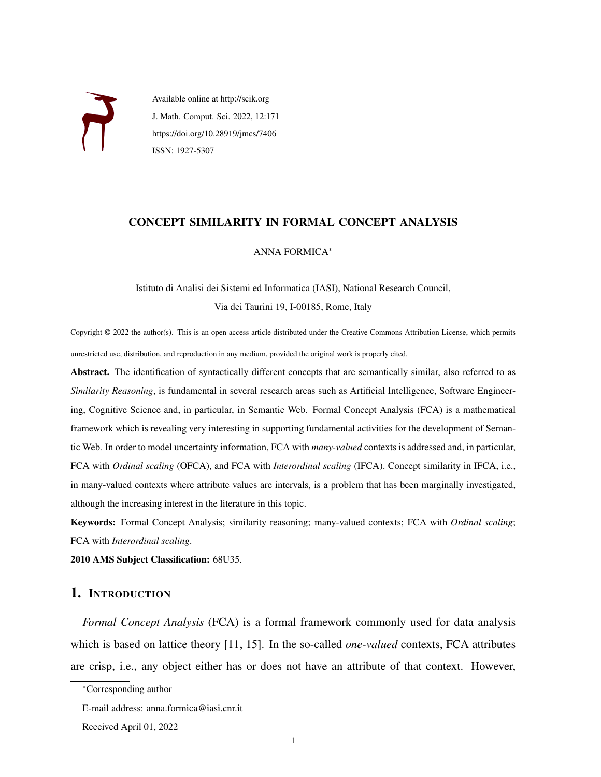

Available online at http://scik.org J. Math. Comput. Sci. 2022, 12:171 https://doi.org/10.28919/jmcs/7406 ISSN: 1927-5307

# CONCEPT SIMILARITY IN FORMAL CONCEPT ANALYSIS

### ANNA FORMICA<sup>∗</sup>

Istituto di Analisi dei Sistemi ed Informatica (IASI), National Research Council, Via dei Taurini 19, I-00185, Rome, Italy

Copyright © 2022 the author(s). This is an open access article distributed under the Creative Commons Attribution License, which permits unrestricted use, distribution, and reproduction in any medium, provided the original work is properly cited.

Abstract. The identification of syntactically different concepts that are semantically similar, also referred to as *Similarity Reasoning*, is fundamental in several research areas such as Artificial Intelligence, Software Engineering, Cognitive Science and, in particular, in Semantic Web. Formal Concept Analysis (FCA) is a mathematical framework which is revealing very interesting in supporting fundamental activities for the development of Semantic Web. In order to model uncertainty information, FCA with *many-valued* contexts is addressed and, in particular, FCA with *Ordinal scaling* (OFCA), and FCA with *Interordinal scaling* (IFCA). Concept similarity in IFCA, i.e., in many-valued contexts where attribute values are intervals, is a problem that has been marginally investigated, although the increasing interest in the literature in this topic.

Keywords: Formal Concept Analysis; similarity reasoning; many-valued contexts; FCA with *Ordinal scaling*; FCA with *Interordinal scaling*.

2010 AMS Subject Classification: 68U35.

# 1. INTRODUCTION

*Formal Concept Analysis* (FCA) is a formal framework commonly used for data analysis which is based on lattice theory [\[11,](#page-9-0) [15\]](#page-9-1). In the so-called *one-valued* contexts, FCA attributes are crisp, i.e., any object either has or does not have an attribute of that context. However,

<sup>∗</sup>Corresponding author

E-mail address: anna.formica@iasi.cnr.it

Received April 01, 2022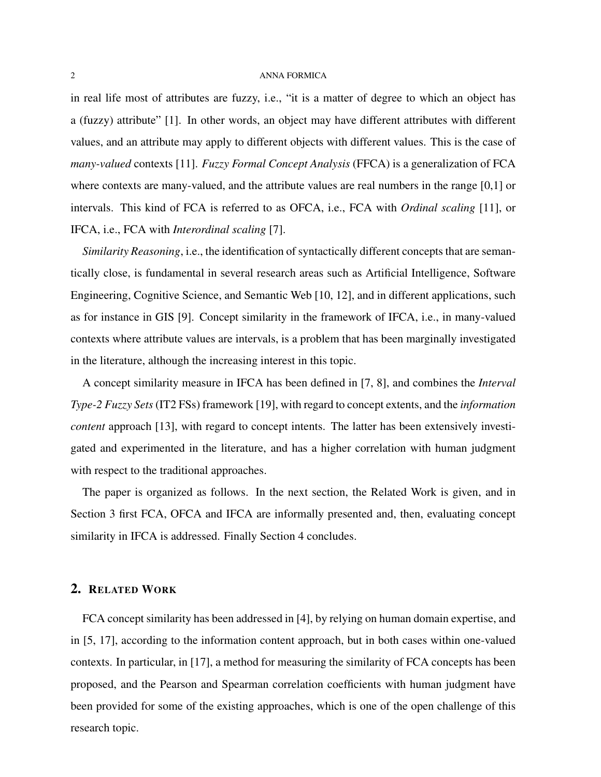in real life most of attributes are fuzzy, i.e., "it is a matter of degree to which an object has a (fuzzy) attribute" [\[1\]](#page-8-0). In other words, an object may have different attributes with different values, and an attribute may apply to different objects with different values. This is the case of *many-valued* contexts [\[11\]](#page-9-0). *Fuzzy Formal Concept Analysis* (FFCA) is a generalization of FCA where contexts are many-valued, and the attribute values are real numbers in the range [0,1] or intervals. This kind of FCA is referred to as OFCA, i.e., FCA with *Ordinal scaling* [\[11\]](#page-9-0), or IFCA, i.e., FCA with *Interordinal scaling* [\[7\]](#page-9-2).

*Similarity Reasoning*, i.e., the identification of syntactically different concepts that are semantically close, is fundamental in several research areas such as Artificial Intelligence, Software Engineering, Cognitive Science, and Semantic Web [\[10,](#page-9-3) [12\]](#page-9-4), and in different applications, such as for instance in GIS [\[9\]](#page-9-5). Concept similarity in the framework of IFCA, i.e., in many-valued contexts where attribute values are intervals, is a problem that has been marginally investigated in the literature, although the increasing interest in this topic.

A concept similarity measure in IFCA has been defined in [\[7,](#page-9-2) [8\]](#page-9-6), and combines the *Interval Type-2 Fuzzy Sets* (IT2 FSs) framework [\[19\]](#page-9-7), with regard to concept extents, and the *information content* approach [\[13\]](#page-9-8), with regard to concept intents. The latter has been extensively investigated and experimented in the literature, and has a higher correlation with human judgment with respect to the traditional approaches.

The paper is organized as follows. In the next section, the Related Work is given, and in Section [3](#page-2-0) first FCA, OFCA and IFCA are informally presented and, then, evaluating concept similarity in IFCA is addressed. Finally Section [4](#page-8-1) concludes.

# 2. RELATED WORK

FCA concept similarity has been addressed in [\[4\]](#page-8-2), by relying on human domain expertise, and in [\[5,](#page-8-3) [17\]](#page-9-9), according to the information content approach, but in both cases within one-valued contexts. In particular, in [\[17\]](#page-9-9), a method for measuring the similarity of FCA concepts has been proposed, and the Pearson and Spearman correlation coefficients with human judgment have been provided for some of the existing approaches, which is one of the open challenge of this research topic.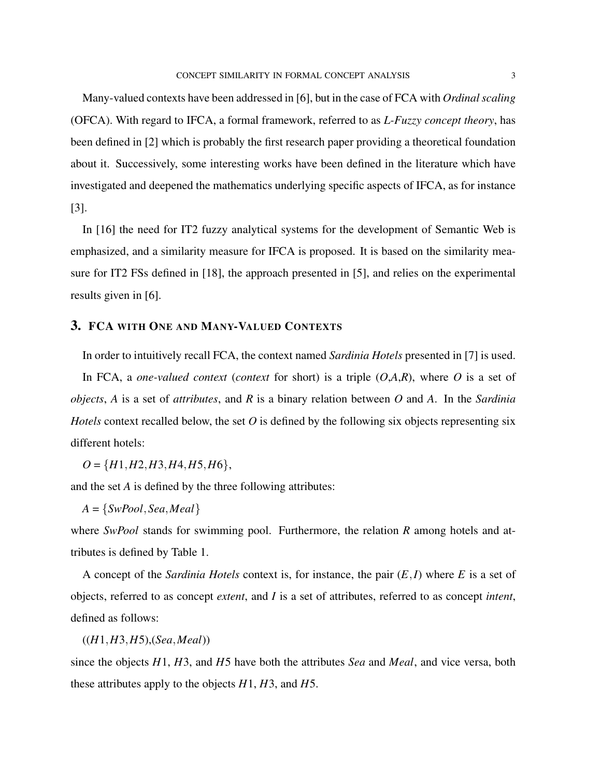Many-valued contexts have been addressed in [\[6\]](#page-8-4), but in the case of FCA with *Ordinal scaling* (OFCA). With regard to IFCA, a formal framework, referred to as *L-Fuzzy concept theory*, has been defined in [\[2\]](#page-8-5) which is probably the first research paper providing a theoretical foundation about it. Successively, some interesting works have been defined in the literature which have investigated and deepened the mathematics underlying specific aspects of IFCA, as for instance [\[3\]](#page-8-6).

In [\[16\]](#page-9-10) the need for IT2 fuzzy analytical systems for the development of Semantic Web is emphasized, and a similarity measure for IFCA is proposed. It is based on the similarity measure for IT2 FSs defined in [\[18\]](#page-9-11), the approach presented in [\[5\]](#page-8-3), and relies on the experimental results given in [\[6\]](#page-8-4).

## <span id="page-2-0"></span>3. FCA WITH ONE AND MANY-VALUED CONTEXTS

In order to intuitively recall FCA, the context named *Sardinia Hotels* presented in [\[7\]](#page-9-2) is used. In FCA, a *one-valued context* (*context* for short) is a triple (*O*,*A*,*R*), where *O* is a set of *objects*, *A* is a set of *attributes*, and *R* is a binary relation between *O* and *A*. In the *Sardinia Hotels* context recalled below, the set *O* is defined by the following six objects representing six different hotels:

*O* = {*H*1,*H*2,*H*3,*H*4,*H*5,*H*6},

and the set *A* is defined by the three following attributes:

$$
A = \{SwPool, Sea, Meal\}
$$

where *SwPool* stands for swimming pool. Furthermore, the relation *R* among hotels and attributes is defined by Table [1.](#page-3-0)

A concept of the *Sardinia Hotels* context is, for instance, the pair (*E*,*I*) where *E* is a set of objects, referred to as concept *extent*, and *I* is a set of attributes, referred to as concept *intent*, defined as follows:

((*H*1,*H*3,*H*5),(*Sea*,*Meal*))

since the objects *H*1, *H*3, and *H*5 have both the attributes *Sea* and *Meal*, and vice versa, both these attributes apply to the objects *H*1, *H*3, and *H*5.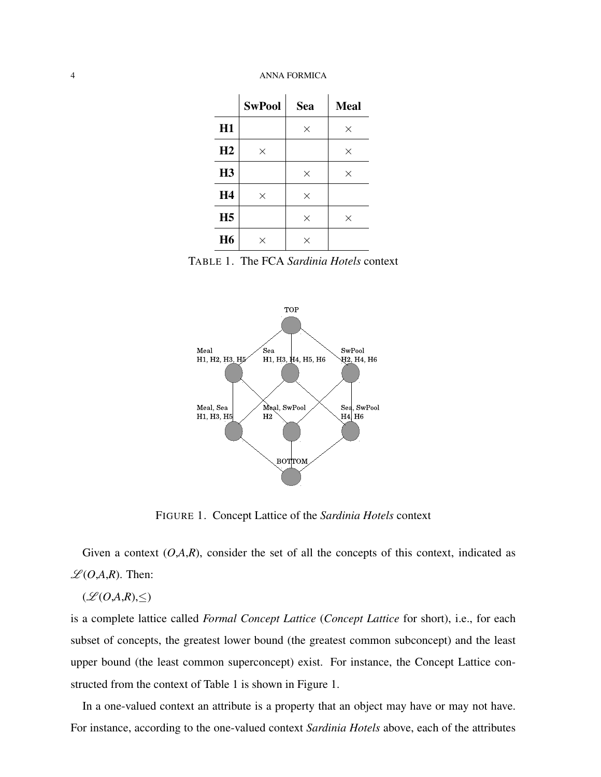|                | <b>SwPool</b> | Sea      | <b>Meal</b> |
|----------------|---------------|----------|-------------|
| H1             |               | $\times$ | $\times$    |
| H2             | $\times$      |          | $\times$    |
| H3             |               | $\times$ | $\times$    |
| <b>H4</b>      | $\times$      | $\times$ |             |
| H <sub>5</sub> |               | $\times$ | $\times$    |
| <b>H6</b>      | $\times$      | $\times$ |             |

<span id="page-3-0"></span>TABLE 1. The FCA *Sardinia Hotels* context



<span id="page-3-1"></span>FIGURE 1. Concept Lattice of the *Sardinia Hotels* context

Given a context  $(O, A, R)$ , consider the set of all the concepts of this context, indicated as  $L(O,A,R)$ . Then:

## $(\mathcal{L}(O,A,R),\leq)$

is a complete lattice called *Formal Concept Lattice* (*Concept Lattice* for short), i.e., for each subset of concepts, the greatest lower bound (the greatest common subconcept) and the least upper bound (the least common superconcept) exist. For instance, the Concept Lattice constructed from the context of Table [1](#page-3-0) is shown in Figure [1.](#page-3-1)

In a one-valued context an attribute is a property that an object may have or may not have. For instance, according to the one-valued context *Sardinia Hotels* above, each of the attributes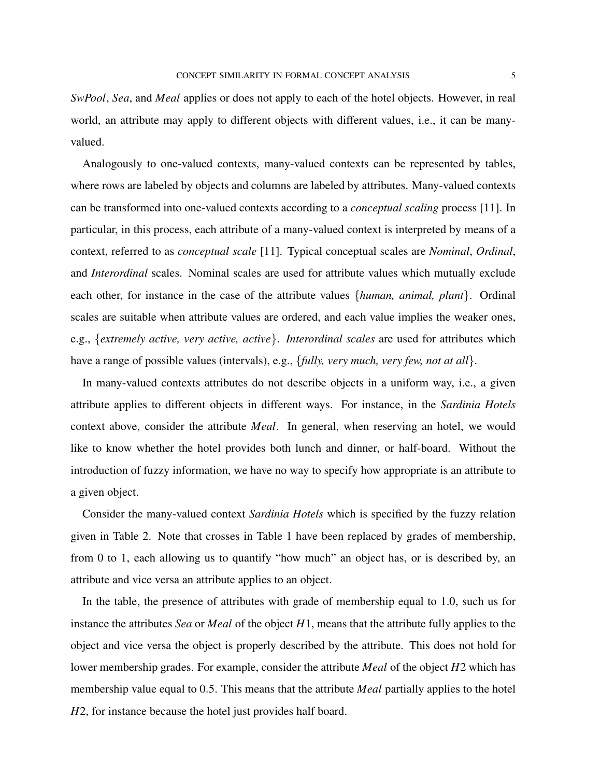*SwPool*, *Sea*, and *Meal* applies or does not apply to each of the hotel objects. However, in real world, an attribute may apply to different objects with different values, i.e., it can be manyvalued.

Analogously to one-valued contexts, many-valued contexts can be represented by tables, where rows are labeled by objects and columns are labeled by attributes. Many-valued contexts can be transformed into one-valued contexts according to a *conceptual scaling* process [\[11\]](#page-9-0). In particular, in this process, each attribute of a many-valued context is interpreted by means of a context, referred to as *conceptual scale* [\[11\]](#page-9-0). Typical conceptual scales are *Nominal*, *Ordinal*, and *Interordinal* scales. Nominal scales are used for attribute values which mutually exclude each other, for instance in the case of the attribute values {*human, animal, plant*}. Ordinal scales are suitable when attribute values are ordered, and each value implies the weaker ones, e.g., {*extremely active, very active, active*}. *Interordinal scales* are used for attributes which have a range of possible values (intervals), e.g., {*fully, very much, very few, not at all*}.

In many-valued contexts attributes do not describe objects in a uniform way, i.e., a given attribute applies to different objects in different ways. For instance, in the *Sardinia Hotels* context above, consider the attribute *Meal*. In general, when reserving an hotel, we would like to know whether the hotel provides both lunch and dinner, or half-board. Without the introduction of fuzzy information, we have no way to specify how appropriate is an attribute to a given object.

Consider the many-valued context *Sardinia Hotels* which is specified by the fuzzy relation given in Table [2.](#page-5-0) Note that crosses in Table [1](#page-3-0) have been replaced by grades of membership, from 0 to 1, each allowing us to quantify "how much" an object has, or is described by, an attribute and vice versa an attribute applies to an object.

In the table, the presence of attributes with grade of membership equal to 1.0, such us for instance the attributes *Sea* or *Meal* of the object *H*1, means that the attribute fully applies to the object and vice versa the object is properly described by the attribute. This does not hold for lower membership grades. For example, consider the attribute *Meal* of the object *H*2 which has membership value equal to 0.5. This means that the attribute *Meal* partially applies to the hotel *H*2, for instance because the hotel just provides half board.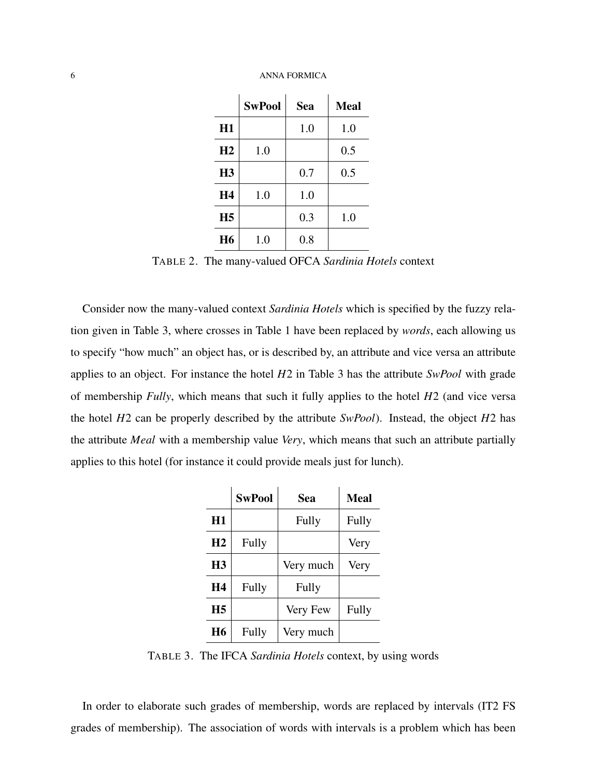|                | <b>SwPool</b> | <b>Sea</b> | <b>Meal</b> |
|----------------|---------------|------------|-------------|
| H1             |               | 1.0        | 1.0         |
| H <sub>2</sub> | 1.0           |            | 0.5         |
| H <sub>3</sub> |               | 0.7        | 0.5         |
| <b>H4</b>      | 1.0           | 1.0        |             |
| H <sub>5</sub> |               | 0.3        | 1.0         |
| <b>H6</b>      | 1.0           | 0.8        |             |

<span id="page-5-0"></span>TABLE 2. The many-valued OFCA *Sardinia Hotels* context

Consider now the many-valued context *Sardinia Hotels* which is specified by the fuzzy relation given in Table [3,](#page-5-1) where crosses in Table [1](#page-3-0) have been replaced by *words*, each allowing us to specify "how much" an object has, or is described by, an attribute and vice versa an attribute applies to an object. For instance the hotel *H*2 in Table [3](#page-5-1) has the attribute *SwPool* with grade of membership *Fully*, which means that such it fully applies to the hotel *H*2 (and vice versa the hotel *H*2 can be properly described by the attribute *SwPool*). Instead, the object *H*2 has the attribute *Meal* with a membership value *Very*, which means that such an attribute partially applies to this hotel (for instance it could provide meals just for lunch).

|           | <b>SwPool</b> | Sea       | <b>Meal</b> |
|-----------|---------------|-----------|-------------|
| H1        |               | Fully     | Fully       |
| H2        | Fully         |           | Very        |
| <b>H3</b> |               | Very much | Very        |
| H4        | Fully         | Fully     |             |
| <b>H5</b> |               | Very Few  | Fully       |
| <b>H6</b> | Fully         | Very much |             |

<span id="page-5-1"></span>TABLE 3. The IFCA *Sardinia Hotels* context, by using words

In order to elaborate such grades of membership, words are replaced by intervals (IT2 FS grades of membership). The association of words with intervals is a problem which has been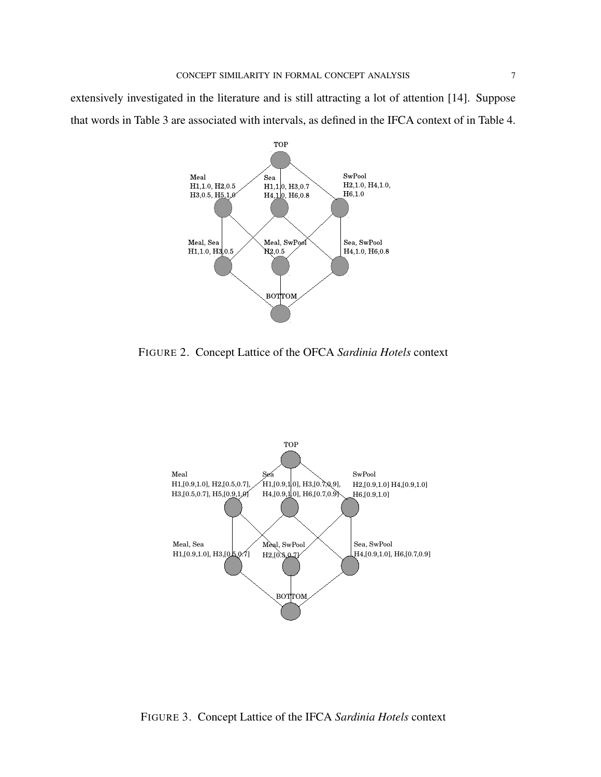extensively investigated in the literature and is still attracting a lot of attention [\[14\]](#page-9-12). Suppose that words in Table [3](#page-5-1) are associated with intervals, as defined in the IFCA context of in Table [4.](#page-7-0)



<span id="page-6-0"></span>FIGURE 2. Concept Lattice of the OFCA *Sardinia Hotels* context



<span id="page-6-1"></span>FIGURE 3. Concept Lattice of the IFCA *Sardinia Hotels* context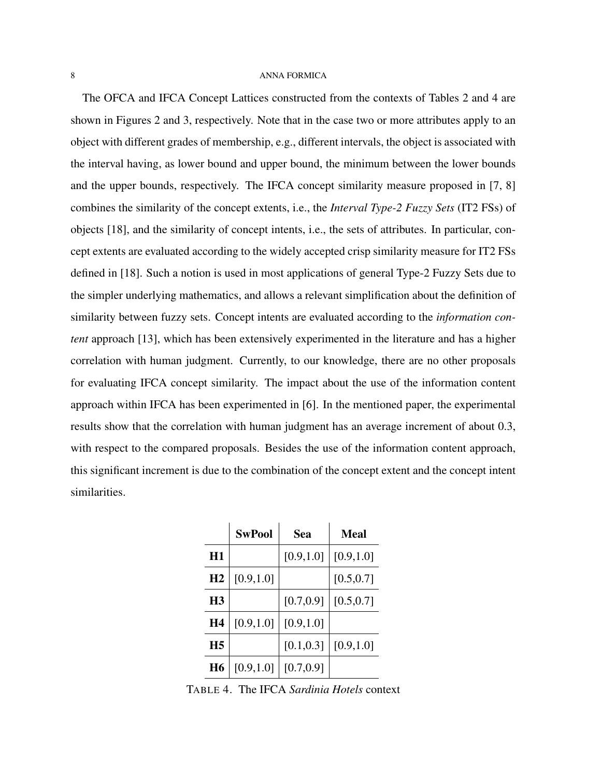The OFCA and IFCA Concept Lattices constructed from the contexts of Tables [2](#page-5-0) and [4](#page-7-0) are shown in Figures [2](#page-6-0) and [3,](#page-6-1) respectively. Note that in the case two or more attributes apply to an object with different grades of membership, e.g., different intervals, the object is associated with the interval having, as lower bound and upper bound, the minimum between the lower bounds and the upper bounds, respectively. The IFCA concept similarity measure proposed in [\[7,](#page-9-2) [8\]](#page-9-6) combines the similarity of the concept extents, i.e., the *Interval Type-2 Fuzzy Sets* (IT2 FSs) of objects [\[18\]](#page-9-11), and the similarity of concept intents, i.e., the sets of attributes. In particular, concept extents are evaluated according to the widely accepted crisp similarity measure for IT2 FSs defined in [\[18\]](#page-9-11). Such a notion is used in most applications of general Type-2 Fuzzy Sets due to the simpler underlying mathematics, and allows a relevant simplification about the definition of similarity between fuzzy sets. Concept intents are evaluated according to the *information content* approach [\[13\]](#page-9-8), which has been extensively experimented in the literature and has a higher correlation with human judgment. Currently, to our knowledge, there are no other proposals for evaluating IFCA concept similarity. The impact about the use of the information content approach within IFCA has been experimented in [\[6\]](#page-8-4). In the mentioned paper, the experimental results show that the correlation with human judgment has an average increment of about 0.3, with respect to the compared proposals. Besides the use of the information content approach, this significant increment is due to the combination of the concept extent and the concept intent similarities.

|                | <b>SwPool</b> | Sea        | Meal       |
|----------------|---------------|------------|------------|
| H1             |               | [0.9, 1.0] | [0.9, 1.0] |
| H2             | [0.9, 1.0]    |            | [0.5, 0.7] |
| H <sub>3</sub> |               | [0.7, 0.9] | [0.5, 0.7] |
| Η4             | [0.9, 1.0]    | [0.9, 1.0] |            |
| H <sub>5</sub> |               | [0.1, 0.3] | [0.9, 1.0] |
| Η6             | [0.9, 1.0]    | [0.7, 0.9] |            |

<span id="page-7-0"></span>TABLE 4. The IFCA *Sardinia Hotels* context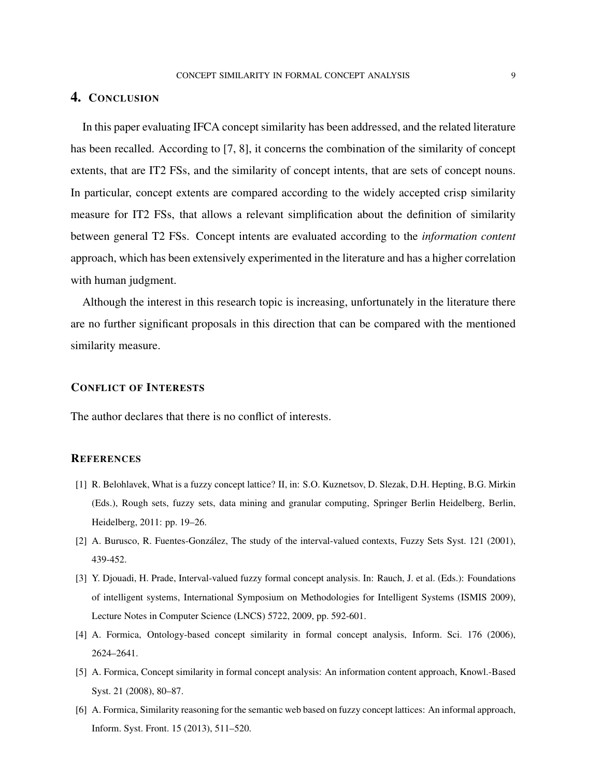## <span id="page-8-1"></span>4. CONCLUSION

In this paper evaluating IFCA concept similarity has been addressed, and the related literature has been recalled. According to [\[7,](#page-9-2) [8\]](#page-9-6), it concerns the combination of the similarity of concept extents, that are IT2 FSs, and the similarity of concept intents, that are sets of concept nouns. In particular, concept extents are compared according to the widely accepted crisp similarity measure for IT2 FSs, that allows a relevant simplification about the definition of similarity between general T2 FSs. Concept intents are evaluated according to the *information content* approach, which has been extensively experimented in the literature and has a higher correlation with human judgment.

Although the interest in this research topic is increasing, unfortunately in the literature there are no further significant proposals in this direction that can be compared with the mentioned similarity measure.

## CONFLICT OF INTERESTS

The author declares that there is no conflict of interests.

### **REFERENCES**

- <span id="page-8-0"></span>[1] R. Belohlavek, What is a fuzzy concept lattice? II, in: S.O. Kuznetsov, D. Slezak, D.H. Hepting, B.G. Mirkin (Eds.), Rough sets, fuzzy sets, data mining and granular computing, Springer Berlin Heidelberg, Berlin, Heidelberg, 2011: pp. 19–26.
- <span id="page-8-5"></span>[2] A. Burusco, R. Fuentes-González, The study of the interval-valued contexts, Fuzzy Sets Syst. 121 (2001), 439-452.
- <span id="page-8-6"></span>[3] Y. Djouadi, H. Prade, Interval-valued fuzzy formal concept analysis. In: Rauch, J. et al. (Eds.): Foundations of intelligent systems, International Symposium on Methodologies for Intelligent Systems (ISMIS 2009), Lecture Notes in Computer Science (LNCS) 5722, 2009, pp. 592-601.
- <span id="page-8-2"></span>[4] A. Formica, Ontology-based concept similarity in formal concept analysis, Inform. Sci. 176 (2006), 2624–2641.
- <span id="page-8-3"></span>[5] A. Formica, Concept similarity in formal concept analysis: An information content approach, Knowl.-Based Syst. 21 (2008), 80–87.
- <span id="page-8-4"></span>[6] A. Formica, Similarity reasoning for the semantic web based on fuzzy concept lattices: An informal approach, Inform. Syst. Front. 15 (2013), 511–520.